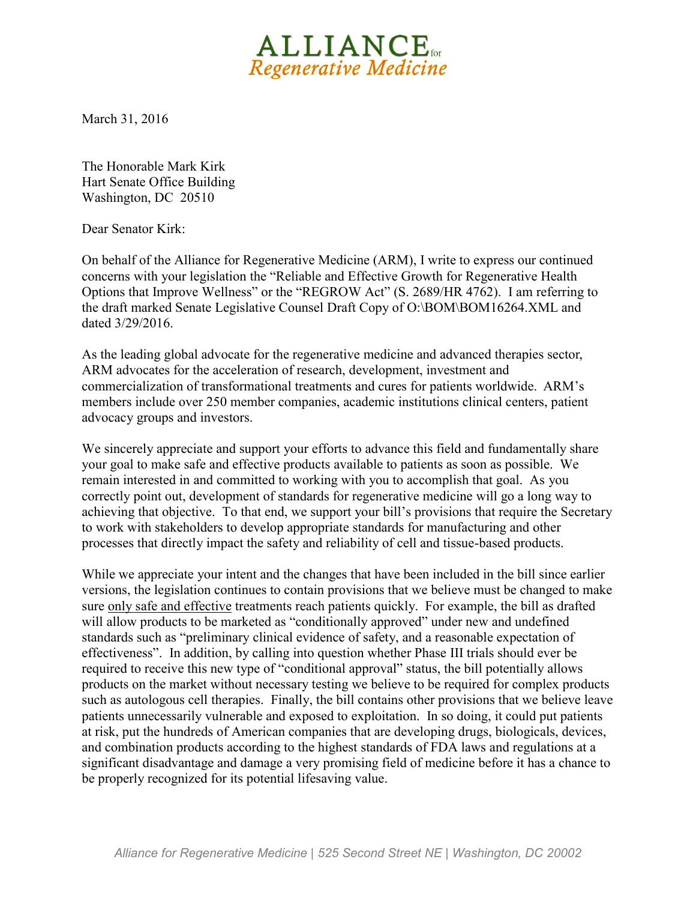

March 31, 2016

The Honorable Mark Kirk Hart Senate Office Building Washington, DC 20510

Dear Senator Kirk:

On behalf of the Alliance for Regenerative Medicine (ARM), I write to express our continued concerns with your legislation the "Reliable and Effective Growth for Regenerative Health Options that Improve Wellness" or the "REGROW Act" (S. 2689/HR 4762). I am referring to the draft marked Senate Legislative Counsel Draft Copy of O:\BOM\BOM16264.XML and dated 3/29/2016.

As the leading global advocate for the regenerative medicine and advanced therapies sector, ARM advocates for the acceleration of research, development, investment and commercialization of transformational treatments and cures for patients worldwide. ARM's members include over 250 member companies, academic institutions clinical centers, patient advocacy groups and investors.

We sincerely appreciate and support your efforts to advance this field and fundamentally share your goal to make safe and effective products available to patients as soon as possible. We remain interested in and committed to working with you to accomplish that goal. As you correctly point out, development of standards for regenerative medicine will go a long way to achieving that objective. To that end, we support your bill's provisions that require the Secretary to work with stakeholders to develop appropriate standards for manufacturing and other processes that directly impact the safety and reliability of cell and tissue-based products.

While we appreciate your intent and the changes that have been included in the bill since earlier versions, the legislation continues to contain provisions that we believe must be changed to make sure only safe and effective treatments reach patients quickly. For example, the bill as drafted will allow products to be marketed as "conditionally approved" under new and undefined standards such as "preliminary clinical evidence of safety, and a reasonable expectation of effectiveness". In addition, by calling into question whether Phase III trials should ever be required to receive this new type of "conditional approval" status, the bill potentially allows products on the market without necessary testing we believe to be required for complex products such as autologous cell therapies. Finally, the bill contains other provisions that we believe leave patients unnecessarily vulnerable and exposed to exploitation. In so doing, it could put patients at risk, put the hundreds of American companies that are developing drugs, biologicals, devices, and combination products according to the highest standards of FDA laws and regulations at a significant disadvantage and damage a very promising field of medicine before it has a chance to be properly recognized for its potential lifesaving value.